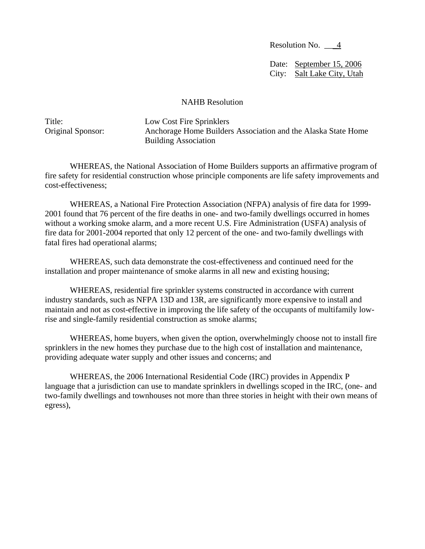Resolution No. \_\_\_4

Date: September 15, 2006 City: Salt Lake City, Utah

## NAHB Resolution

Title: Low Cost Fire Sprinklers Original Sponsor: Anchorage Home Builders Association and the Alaska State Home Building Association

WHEREAS, the National Association of Home Builders supports an affirmative program of fire safety for residential construction whose principle components are life safety improvements and cost-effectiveness;

WHEREAS, a National Fire Protection Association (NFPA) analysis of fire data for 1999- 2001 found that 76 percent of the fire deaths in one- and two-family dwellings occurred in homes without a working smoke alarm, and a more recent U.S. Fire Administration (USFA) analysis of fire data for 2001-2004 reported that only 12 percent of the one- and two-family dwellings with fatal fires had operational alarms;

WHEREAS, such data demonstrate the cost-effectiveness and continued need for the installation and proper maintenance of smoke alarms in all new and existing housing;

WHEREAS, residential fire sprinkler systems constructed in accordance with current industry standards, such as NFPA 13D and 13R, are significantly more expensive to install and maintain and not as cost-effective in improving the life safety of the occupants of multifamily lowrise and single-family residential construction as smoke alarms;

WHEREAS, home buyers, when given the option, overwhelmingly choose not to install fire sprinklers in the new homes they purchase due to the high cost of installation and maintenance, providing adequate water supply and other issues and concerns; and

 WHEREAS, the 2006 International Residential Code (IRC) provides in Appendix P language that a jurisdiction can use to mandate sprinklers in dwellings scoped in the IRC, (one- and two-family dwellings and townhouses not more than three stories in height with their own means of egress),